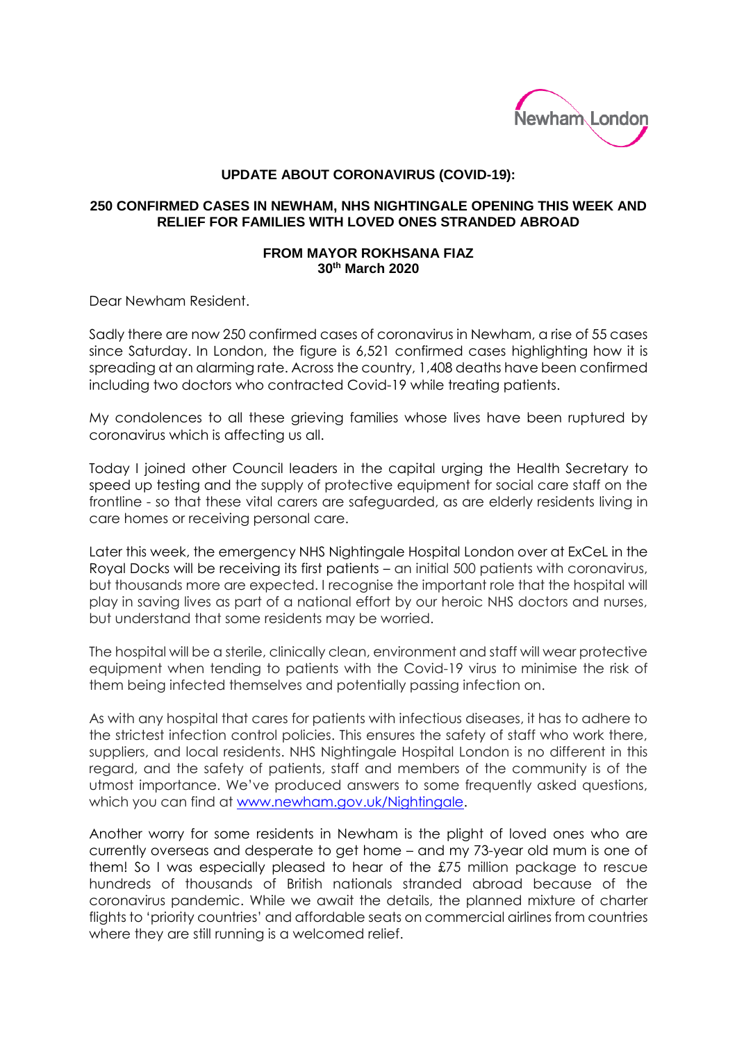

## **UPDATE ABOUT CORONAVIRUS (COVID-19):**

## **250 CONFIRMED CASES IN NEWHAM, NHS NIGHTINGALE OPENING THIS WEEK AND RELIEF FOR FAMILIES WITH LOVED ONES STRANDED ABROAD**

## **FROM MAYOR ROKHSANA FIAZ 30th March 2020**

Dear Newham Resident.

Sadly there are now 250 confirmed cases of coronavirus in Newham, a rise of 55 cases since Saturday. In London, the figure is 6,521 confirmed cases highlighting how it is spreading at an alarming rate. Across the country, 1,408 deaths have been confirmed including two doctors who contracted Covid-19 while treating patients.

My condolences to all these grieving families whose lives have been ruptured by coronavirus which is affecting us all.

Today I joined other Council leaders in the capital urging the Health Secretary to speed up testing and the supply of protective equipment for social care staff on the frontline - so that these vital carers are safeguarded, as are elderly residents living in care homes or receiving personal care.

Later this week, the emergency NHS Nightingale Hospital London over at ExCeL in the Royal Docks will be receiving its first patients – an initial 500 patients with coronavirus, but thousands more are expected. I recognise the important role that the hospital will play in saving lives as part of a national effort by our heroic NHS doctors and nurses, but understand that some residents may be worried.

The hospital will be a sterile, clinically clean, environment and staff will wear protective equipment when tending to patients with the Covid-19 virus to minimise the risk of them being infected themselves and potentially passing infection on.

As with any hospital that cares for patients with infectious diseases, it has to adhere to the strictest infection control policies. This ensures the safety of staff who work there, suppliers, and local residents. NHS Nightingale Hospital London is no different in this regard, and the safety of patients, staff and members of the community is of the utmost importance. We've produced answers to some frequently asked questions, which you can find at www.newham.gov.uk/Nightingale.

Another worry for some residents in Newham is the plight of loved ones who are currently overseas and desperate to get home – and my 73-year old mum is one of them! So I was especially pleased to hear of the £75 million package to rescue hundreds of thousands of British nationals stranded abroad because of the coronavirus pandemic. While we await the details, the planned mixture of charter flights to 'priority countries' and affordable seats on commercial airlines from countries where they are still running is a welcomed relief.